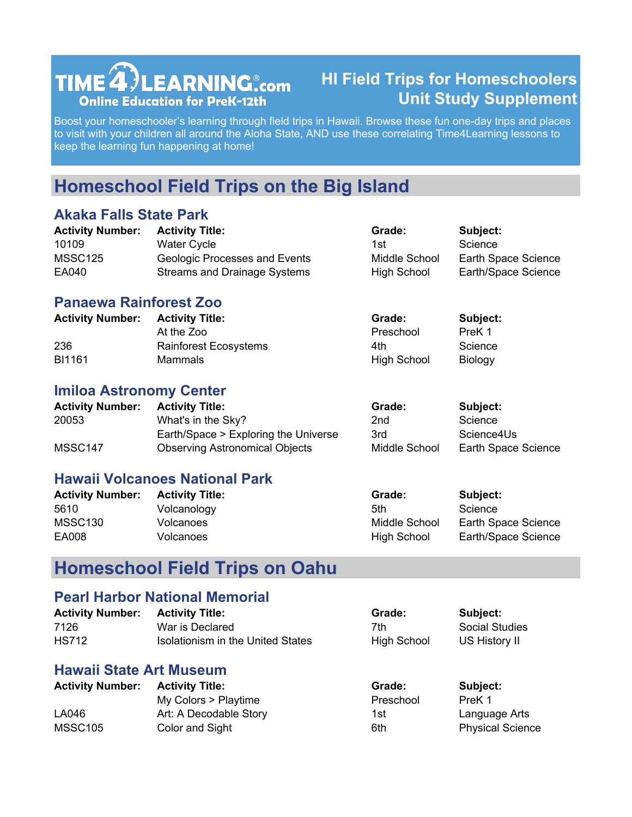# $TIME **4**$  LEARNING  $_{\rm com}$ **Online Education for PreK-12th**

### **HI Field Trips for Homeschoolers Unit Study Supplement**

Boost your homeschooler's learning through field trips in Hawaii. Browse these fun one-day trips and places to visit with your children all around the Aloha State, AND use these correlating Time4Learning lessons to keep the learning fun happening at home!

## **Homeschool Field Trips on the Big Island**

#### **Akaka Falls State Park**

| <b>Activity Number:</b> | <b>Activity Title:</b>               | Grade:             | Subject:            |
|-------------------------|--------------------------------------|--------------------|---------------------|
| 10109                   | <b>Water Cycle</b>                   | 1st                | Science             |
| MSSC125                 | <b>Geologic Processes and Events</b> | Middle School      | Earth Space Science |
| EA040                   | Streams and Drainage Systems         | <b>High School</b> | Earth/Space Science |

#### **Panaewa Rainforest Zoo**

| <b>Activity Number:</b> | <b>Activity Title:</b>       | Grade:             | Subject: |
|-------------------------|------------------------------|--------------------|----------|
|                         | At the Zoo                   | Preschool          | PreK 1   |
| 236                     | <b>Rainforest Ecosystems</b> | 4th                | Science  |
| BI1161                  | Mammals                      | <b>High School</b> | Biology  |

#### **Imiloa Astronomy Center**

| <b>Activity Number:</b> | <b>Activity Title:</b>                | Grade:        | Subject:            |
|-------------------------|---------------------------------------|---------------|---------------------|
| 20053                   | What's in the Sky?                    | 2nd           | Science             |
|                         | Earth/Space > Exploring the Universe  | 3rd           | Science4Us          |
| MSSC147                 | <b>Observing Astronomical Objects</b> | Middle School | Earth Space Science |

#### **Hawaii Volcanoes National Park**

| <b>Activity Number:</b> | <b>Activity Title:</b> | Grade:             | Subject:            |
|-------------------------|------------------------|--------------------|---------------------|
| 5610                    | Volcanology            | 5th                | Science             |
| MSSC <sub>130</sub>     | Volcanoes              | Middle School      | Earth Space Science |
| EA008                   | Volcanoes              | <b>High School</b> | Earth/Space Science |

### **Homeschool Field Trips on Oahu**

#### **Pearl Harbor National Memorial**

| <b>Activity Number:</b> | <b>Activity Title:</b>            | Grade:             | Subject:       |
|-------------------------|-----------------------------------|--------------------|----------------|
| 7126                    | War is Declared                   | 7th                | Social Studies |
| <b>HS712</b>            | Isolationism in the United States | <b>High School</b> | US History II  |

#### **Hawaii State Art Museum**

| <b>Activity Number:</b> | <b>Activity Title:</b> | Grade:    | Subject:                |
|-------------------------|------------------------|-----------|-------------------------|
|                         | My Colors > Playtime   | Preschool | PreK 1                  |
| LA046                   | Art: A Decodable Story | 1st       | Language Arts           |
| MSSC <sub>105</sub>     | Color and Sight        | 6th       | <b>Physical Science</b> |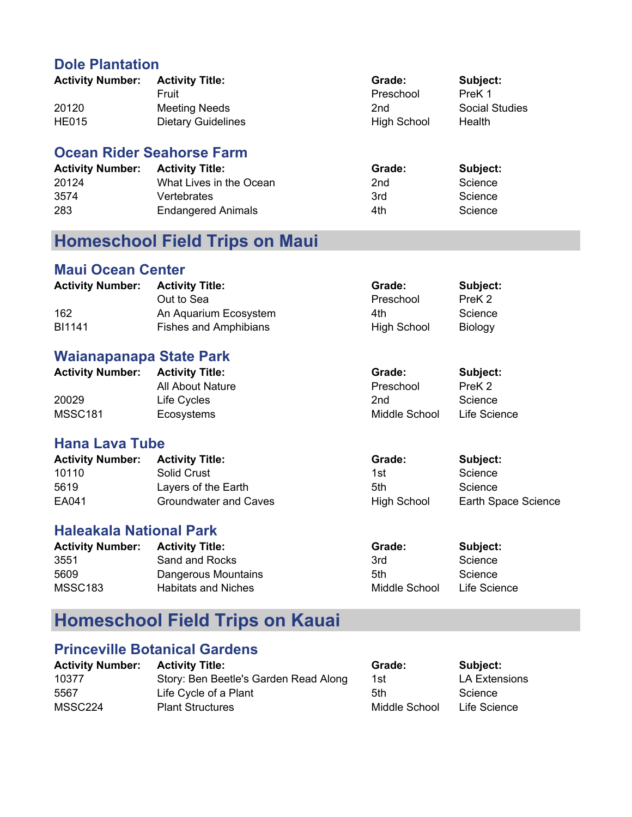#### **Dole Plantation**

| <b>Activity Number:</b> | <b>Activity Title:</b>    | Grade:             | Subject:              |
|-------------------------|---------------------------|--------------------|-----------------------|
|                         | Fruit                     | Preschool          | PreK 1                |
| 20120                   | <b>Meeting Needs</b>      | 2nd                | <b>Social Studies</b> |
| <b>HE015</b>            | <b>Dietary Guidelines</b> | <b>High School</b> | Health                |

#### **Ocean Rider Seahorse Farm**

| <b>Activity Number:</b> | <b>Activity Title:</b>    | Grade: | Subject: |
|-------------------------|---------------------------|--------|----------|
| 20124                   | What Lives in the Ocean   | 2nd    | Science  |
| 3574                    | Vertebrates               | 3rd    | Science  |
| 283                     | <b>Endangered Animals</b> | 4th    | Science  |

## **Homeschool Field Trips on Maui**

#### **Maui Ocean Center**

| <b>Activity Number:</b> | <b>Activity Title:</b>       | Grade:             | Subject:       |
|-------------------------|------------------------------|--------------------|----------------|
|                         | Out to Sea                   | Preschool          | PreK 2         |
| 162                     | An Aquarium Ecosystem        | 4th                | Science        |
| BI1141                  | <b>Fishes and Amphibians</b> | <b>High School</b> | <b>Biology</b> |

#### **Waianapanapa State Park**

| <b>Activity Number:</b> | <b>Activity Title:</b> | Grade:        | Subject:     |
|-------------------------|------------------------|---------------|--------------|
|                         | All About Nature       | Preschool     | PreK 2       |
| 20029                   | Life Cycles            | 2nd           | Science      |
| <b>MSSC181</b>          | Ecosystems             | Middle School | Life Science |

#### **Hana Lava Tube**

| <b>Activity Number:</b> | <b>Activity Title:</b> | Grade:             | Subject:            |
|-------------------------|------------------------|--------------------|---------------------|
| 10110                   | Solid Crust            | 1st                | Science             |
| 5619                    | Layers of the Earth    | 5th                | Science             |
| EA041                   | Groundwater and Caves  | <b>High School</b> | Earth Space Science |

#### **Haleakala National Park**

| <b>Activity Number:</b> | <b>Activity Title:</b> | Grade:        | Subject:     |
|-------------------------|------------------------|---------------|--------------|
| 3551                    | Sand and Rocks         | 3rd           | Science      |
| 5609                    | Dangerous Mountains    | 5th           | Science      |
| MSSC183                 | Habitats and Niches    | Middle School | Life Science |

## **Homeschool Field Trips on Kauai**

#### **Princeville Botanical Gardens**

| <b>Activity Number: Activity Title:</b> | Grade: | Subject:      |
|-----------------------------------------|--------|---------------|
| Story: Ben Beetle's Garden Read Along   | 1st    | LA Extensions |
| Life Cycle of a Plant                   | 5th    | Science       |
| <b>Plant Structures</b>                 |        | Life Science  |
|                                         |        | Middle School |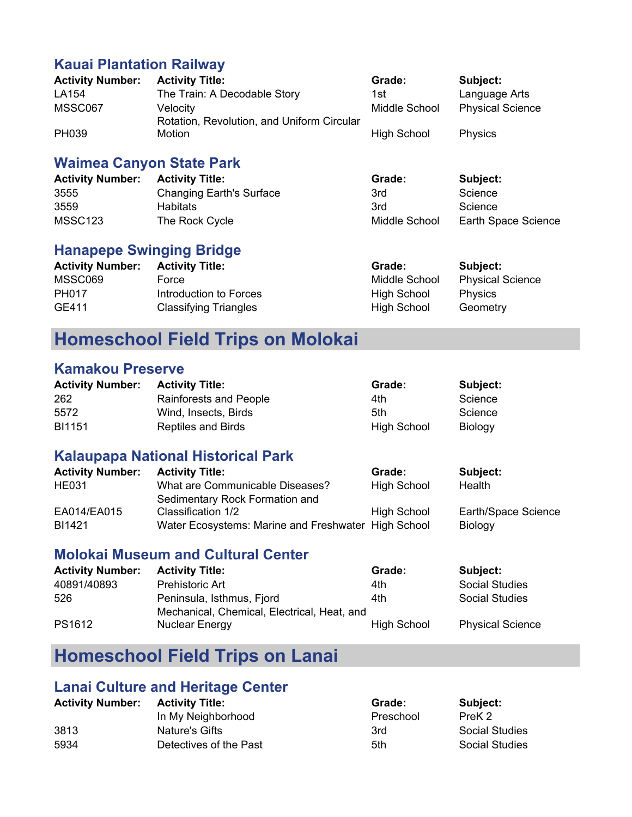#### **Kauai Plantation Railway**

| <b>Activity Number:</b> | <b>Activity Title:</b>                     | Grade:             | Subject:                |
|-------------------------|--------------------------------------------|--------------------|-------------------------|
| LA154                   | The Train: A Decodable Story               | 1st                | Language Arts           |
| MSSC067                 | Velocity                                   | Middle School      | <b>Physical Science</b> |
|                         | Rotation, Revolution, and Uniform Circular |                    |                         |
| PH039                   | Motion                                     | <b>High School</b> | <b>Physics</b>          |

#### **Waimea Canyon State Park**

| <b>Activity Number:</b> | <b>Activity Title:</b>          | Grade:        | Subject:            |
|-------------------------|---------------------------------|---------------|---------------------|
| 3555                    | <b>Changing Earth's Surface</b> | 3rd           | Science             |
| 3559                    | <b>Habitats</b>                 | 3rd           | Science             |
| MSSC <sub>123</sub>     | The Rock Cycle                  | Middle School | Earth Space Science |

#### **Hanapepe Swinging Bridge**

| <b>Activity Number:</b> | <b>Activity Title:</b>       | Grade:             | <b>Subject:</b>         |
|-------------------------|------------------------------|--------------------|-------------------------|
| MSSC069                 | Force                        | Middle School      | <b>Physical Science</b> |
| <b>PH017</b>            | Introduction to Forces       | <b>High School</b> | <b>Physics</b>          |
| GE411                   | <b>Classifying Triangles</b> | <b>High School</b> | Geometry                |

### **Homeschool Field Trips on Molokai**

#### **Kamakou Preserve**

| <b>Activity Number:</b> | <b>Activity Title:</b>    | Grade:             | Subject:       |
|-------------------------|---------------------------|--------------------|----------------|
| 262                     | Rainforests and People    | 4th                | Science        |
| 5572                    | Wind. Insects. Birds      | 5th                | Science        |
| BI1151                  | <b>Reptiles and Birds</b> | <b>High School</b> | <b>Biology</b> |

#### **Kalaupapa National Historical Park**

| <b>Activity Number:</b> | <b>Activity Title:</b>                              | Grade:             | Subject:            |
|-------------------------|-----------------------------------------------------|--------------------|---------------------|
| <b>HE031</b>            | What are Communicable Diseases?                     | <b>High School</b> | Health              |
|                         | Sedimentary Rock Formation and                      |                    |                     |
| EA014/EA015             | Classification 1/2                                  | <b>High School</b> | Earth/Space Science |
| BI1421                  | Water Ecosystems: Marine and Freshwater High School |                    | Biology             |

#### **Molokai Museum and Cultural Center**

| <b>Activity Number:</b> | <b>Activity Title:</b>                      | Grade:             | Subject:                |
|-------------------------|---------------------------------------------|--------------------|-------------------------|
| 40891/40893             | <b>Prehistoric Art</b>                      | 4th                | <b>Social Studies</b>   |
| 526                     | Peninsula, Isthmus, Fjord                   | 4th                | <b>Social Studies</b>   |
|                         | Mechanical, Chemical, Electrical, Heat, and |                    |                         |
| PS1612                  | <b>Nuclear Energy</b>                       | <b>High School</b> | <b>Physical Science</b> |

## **Homeschool Field Trips on Lanai**

#### **Lanai Culture and Heritage Center**

| <b>Activity Number:</b> | <b>Activity Title:</b> | Grade:    | Subject:              |
|-------------------------|------------------------|-----------|-----------------------|
|                         | In My Neighborhood     | Preschool | PreK 2                |
| 3813                    | Nature's Gifts         | 3rd       | <b>Social Studies</b> |
| 5934                    | Detectives of the Past | 5th       | <b>Social Studies</b> |